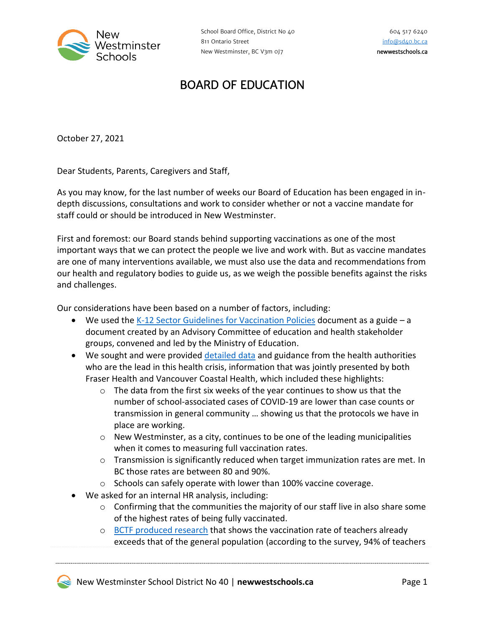

## BOARD OF EDUCATION

October 27, 2021

Dear Students, Parents, Caregivers and Staff,

As you may know, for the last number of weeks our Board of Education has been engaged in indepth discussions, consultations and work to consider whether or not a vaccine mandate for staff could or should be introduced in New Westminster.

First and foremost: our Board stands behind supporting vaccinations as one of the most important ways that we can protect the people we live and work with. But as vaccine mandates are one of many interventions available, we must also use the data and recommendations from our health and regulatory bodies to guide us, as we weigh the possible benefits against the risks and challenges.

Our considerations have been based on a number of factors, including:

- We used the [K-12 Sector Guidelines for Vaccination Policies](https://www2.gov.bc.ca/assets/gov/education/kindergarten-to-grade-12/support/vaccinep-policy-guideline.pdf) document as a guide a document created by an Advisory Committee of education and health stakeholder groups, convened and led by the Ministry of Education.
- We sought and were provided [detailed data](https://newwestschools.ca/wp-content/uploads/2021/10/StaffVaccinePresentation.pdf) and guidance from the health authorities who are the lead in this health crisis, information that was jointly presented by both Fraser Health and Vancouver Coastal Health, which included these highlights:
	- $\circ$  The data from the first six weeks of the year continues to show us that the number of school-associated cases of COVID-19 are lower than case counts or transmission in general community … showing us that the protocols we have in place are working.
	- $\circ$  New Westminster, as a city, continues to be one of the leading municipalities when it comes to measuring full vaccination rates.
	- $\circ$  Transmission is significantly reduced when target immunization rates are met. In BC those rates are between 80 and 90%.
	- o Schools can safely operate with lower than 100% vaccine coverage.
- We asked for an internal HR analysis, including:
	- $\circ$  Confirming that the communities the majority of our staff live in also share some of the highest rates of being fully vaccinated.
	- o BCTF [produced research](https://www.bctf.ca/whats-happening/news-details/2021/10/26/bctf-covid-19-survey-results) that shows the vaccination rate of teachers already exceeds that of the general population (according to the survey, 94% of teachers